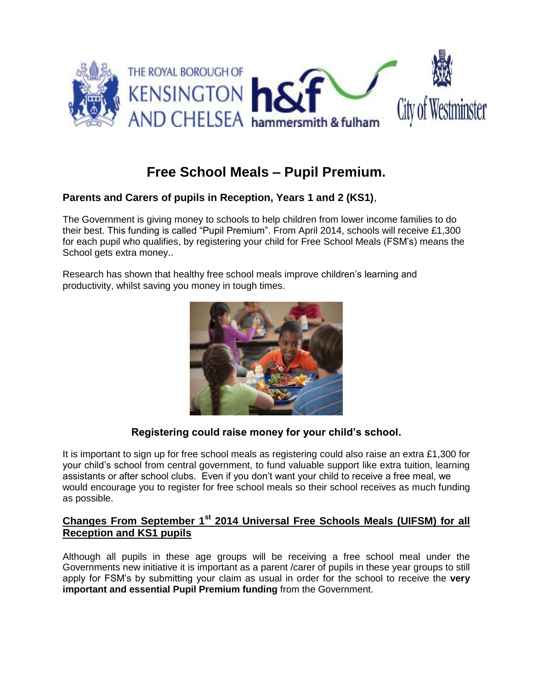

# **Free School Meals – Pupil Premium.**

# **Parents and Carers of pupils in Reception, Years 1 and 2 (KS1)**,

The Government is giving money to schools to help children from lower income families to do their best. This funding is called "Pupil Premium". From April 2014, schools will receive £1,300 for each pupil who qualifies, by registering your child for Free School Meals (FSM's) means the School gets extra money..

Research has shown that healthy free school meals improve children's learning and productivity, whilst saving you money in tough times.



## **Registering could raise money for your child's school.**

It is important to sign up for free school meals as registering could also raise an extra £1,300 for your child's school from central government, to fund valuable support like extra tuition, learning assistants or after school clubs. Even if you don't want your child to receive a free meal, we would encourage you to register for free school meals so their school receives as much funding as possible.

# **Changes From September 1st 2014 Universal Free Schools Meals (UIFSM) for all Reception and KS1 pupils**

Although all pupils in these age groups will be receiving a free school meal under the Governments new initiative it is important as a parent /carer of pupils in these year groups to still apply for FSM's by submitting your claim as usual in order for the school to receive the **very important and essential Pupil Premium funding** from the Government.